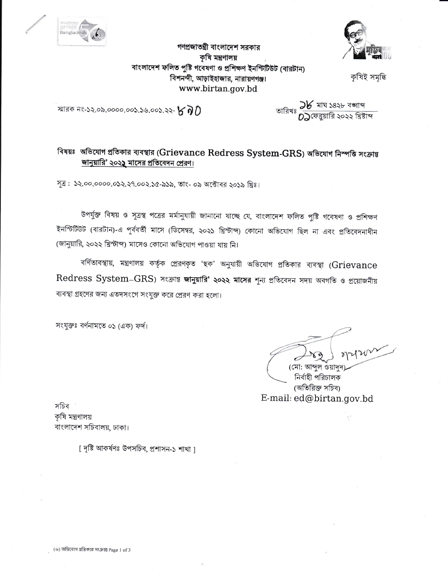



বাংলাদেশ ফলিত পুষ্টি গবেষণা ও প্রশিক্ষণ ইনস্টিটিউট (বারটান) বিশনন্দী, আড়াইহাজার, নারায়ণগঞ্জ।

www.birtan.gov.bd

গণপ্রজাতন্ত্রী বাংলাদেশ সরকার কৃষি মন্ত্ৰণালয়

কষিই সমদ্ধি

স্মারক নং-১২.০৯.০০০০.০০১.১৬.০০১.২২-  $\kappa$   $\eta$   $\eta$ 

তারিখঃ <mark>كلا মাঘ ১৪২৮ বজাব্দ</mark><br>গারিখঃ **()** সেত্রয়ারি ২০২২ খ্রিষ্টাব্দ

## বিষয়ঃ অভিযোগ প্ৰতিকার ব্যবস্থার (Grievance Redress System-GRS) অভিযোগ নিস্পতি সংক্রান্ত জানুয়ারি' ২০২১ মাসের প্রতিবেদন প্রেরণ।

সূত্র: ১২.০০.০০০০.০১২.২৭.০০২.১৫-৯১৯, তাং- ০৯ অক্টোবর ২০১৯ খ্রিঃ।

উপর্যুক্ত বিষয় ও সূত্রস্থ পত্রের মর্মানুযায়ী জানানো যাচ্ছে যে, বাংলাদেশ ফলিত পুষ্টি গবেষণা ও প্রশিক্ষণ ইনস্টিটিউট (বারটান)-এ পূর্ববর্তী মাসে (ডিসেম্বর, ২০২১ খ্রিস্টাব্দ) কোনো অভিযোগ ছিল না এবং প্রতিবেদনাধীন (জানুয়ারি, ২০২২ খ্রিস্টাব্দ) মাসেও কোনো অভিযোগ পাওয়া যায় নি।

বর্ণিতাবস্থায়, মন্ত্রণালয় কর্তৃক প্রেরণকৃত 'ছক' অনুযায়ী অভিযোগ প্রতিকার ব্যবস্থা (Grievance Redress System-GRS) সংক্রান্ত জানুয়ারি' ২০২২ মাসের শূন্য প্রতিবেদন সদয় অবগতি ও প্রয়োজনীয় ব্যবস্থা গ্রহণের জন্য এতদসংগে সংযুক্ত করে প্রেরণ করা হলো।

সংযুক্তঃ বর্ণনামতে ০১ (এক) ফর্দ।

(মো: আব্দুল ওয়াদুদ

নিৰ্বাহী পরিচালক (অতিরিক্ত সচিব) E-mail: ed@birtan.gov.bd

সচিব ' কৃষি মন্ত্ৰণালয় বাংলাদেশ সচিবালয়, ঢাকা।

[ দৃষ্টি আকৰ্ষণঃ উপসচিব, প্ৰশাসন-১ শাখা ]